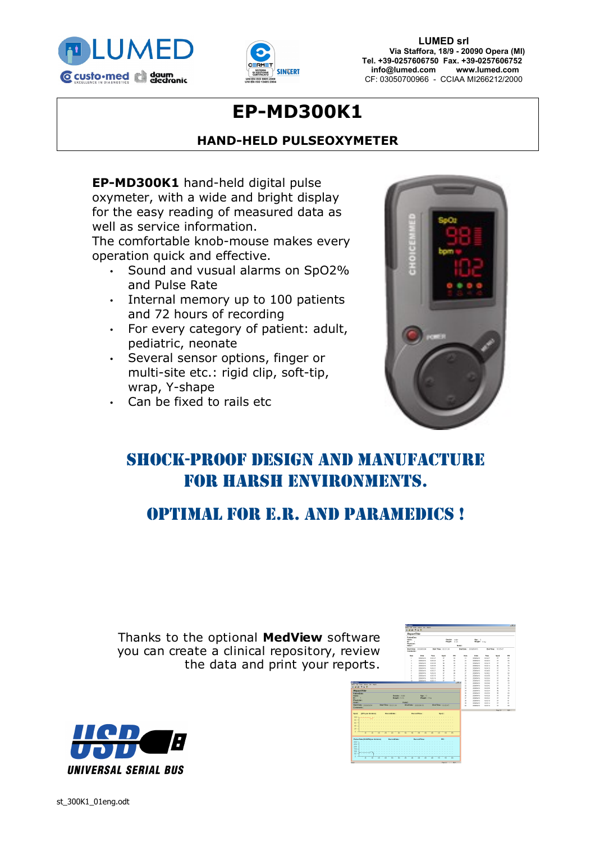



**LUMED srl Via Staffora, 18/9 - 20090 Opera (MI) Tel. +39-0257606750 Fax. +39-0257606752 info@lumed.com [www.lumed.com](http://www.lumed.com/)** CF: 03050700966 - CCIAA MI266212/2000

# **EP-MD300K1**

### **HAND-HELD PULSEOXYMETER**

**EP-MD300K1** hand-held digital pulse oxymeter, with a wide and bright display for the easy reading of measured data as well as service information.

The comfortable knob-mouse makes every operation quick and effective.

- Sound and vusual alarms on SpO2% and Pulse Rate
- Internal memory up to 100 patients and 72 hours of recording
- For every category of patient: adult, pediatric, neonate
- Several sensor options, finger or multi-site etc.: rigid clip, soft-tip, wrap, Y-shape
- Can be fixed to rails etc



## Shock-proof design and manufacture for harsh environments.

### Optimal for E.R. AND Paramedics !

Thanks to the optional MedView softwa you can create a clinical repository, review the data and print your report

|                                              | 14476                                                    |                           |                       |                             |                          |                         |                             |                 |                          |                             |
|----------------------------------------------|----------------------------------------------------------|---------------------------|-----------------------|-----------------------------|--------------------------|-------------------------|-----------------------------|-----------------|--------------------------|-----------------------------|
|                                              | <b>Report Title</b>                                      |                           |                       |                             |                          |                         |                             |                 |                          |                             |
| are                                          | Potentiats<br>Name:<br>D.<br><b>Blueblas</b> -<br>Mete11 |                           |                       | Gender motor<br>Height: 0cm |                          | Note2                   | April 11<br>Weight: 0 kg    |                 |                          |                             |
| ew<br>ts.                                    | Start Date: 2000/0004<br>Comments:                       |                           |                       | Start Time : 00 X1 34       |                          |                         | End Date: 2006/04/16        |                 | Bod Time : 1919-47       |                             |
|                                              | <b>Busi</b>                                              | Outs                      | Time                  | 2002                        | co                       | has.                    | Done                        | Time            | Social                   | co                          |
|                                              | ×                                                        | 20050445                  | 1595.47               | $\sigma$                    | ø                        | $\mathfrak{D}$          | 2055547.6                   | 15:04:27        | $\propto$                | $\mathbf{G}$                |
|                                              | ż                                                        | 2005/06/16                | 10.05.43              | ×                           | <b>K</b>                 | z                       | 2005/07/0                   | 16.04.23        | $\mathbf{r}$             | ×.                          |
|                                              | N                                                        | 2006/485                  | 65.06.90              | $\alpha$                    | o                        | $\mathcal{D}$           | 2006/688                    | 151410          | $\alpha$                 | $\mathcal{P}_{\mathcal{P}}$ |
|                                              | ×<br>ċ                                                   | <b>JURICA CO.</b>         | 16.05 St.             | œ.<br>$\alpha$              | ×<br>$\overline{\sigma}$ | $\mathcal{M}$<br>×      | <b>SHAFAFA</b>              | 16.04.14<br>NHO | $\alpha$<br>×            | ×.<br>$\mathcal{N}$         |
|                                              | r.                                                       | 20060476<br><b>NUMBER</b> | 10:35:31<br>\$5.00.27 | $\alpha$                    | $\alpha$                 | $\overline{\mathbf{x}}$ | 2010/06/16<br><b>NUMBER</b> | 15:04:06        | $\alpha$                 | $\mathcal{P}_{\mathcal{P}}$ |
|                                              | ×                                                        | 2005/06/16                | 10.25.22              | $\sim$                      | ×                        | $\omega$                | 2005/02/16                  | 19.34.02        | w                        | tó.                         |
|                                              | ò                                                        | 2005/6410                 | 10:05:19              | $\alpha$                    | t.                       | ×                       | 2005/04/16                  | 15:33:50        | $\alpha$                 | $\overline{\phantom{a}}$    |
|                                              | ٠                                                        | <b>JURICA CO.</b>         | <b>16.05 76</b>       | $\mathbf{r}$                | m                        | $\mathfrak{m}$          | <b>SIMULATE</b>             | 16.03.64        | $\overline{\mathbf{x}}$  | M                           |
|                                              | 12                                                       | 20050410                  | 10:35:11              | $\alpha$                    | $\mathbf{u}$             | $\mathbf{v}$            | 2006/10:00                  | 10/03/07        | $\alpha$                 | w                           |
|                                              |                                                          |                           |                       |                             | $-10180$                 | m                       | <b>NUMBER</b>               | 15:03:45        | $\sim$                   | $\mathcal{H}$               |
| Others, Six Habits                           |                                                          |                           |                       |                             |                          | $^{12}$                 | 2016/02/16                  | 1933.42         | $\alpha$                 | $\overline{\phantom{a}}$    |
| $+7$                                         |                                                          |                           |                       |                             |                          | 33                      | 2005/67.6                   | <b>15:07:36</b> | œ.                       | $\overline{\mathcal{D}}$    |
| Trie                                         |                                                          |                           |                       |                             |                          | $^{24}$                 | <b>SHAFAFA</b>              | 16.83.38        | ×.                       | $\overline{\phantom{a}}$    |
|                                              |                                                          |                           |                       |                             |                          | ×                       | 2016/04/16                  | 15:32:30        | $\infty$                 | w                           |
| Gender : male                                |                                                          | Age: 0                    |                       |                             |                          | ×                       | <b>NUMBER</b>               | 15:03:26        | $\overline{a}$           | <b>KO</b>                   |
| Height : 0 cm                                |                                                          | Weight: 09p               |                       |                             |                          | $\mathbf{v}$            | 2016/08/16                  | 19.93.22        | $\alpha$                 | i.                          |
|                                              |                                                          |                           |                       |                             |                          | ×                       | 20500416                    | 15.93.95        | $\propto$                | ŧ.                          |
|                                              | Nation <sub>1</sub>                                      |                           |                       |                             |                          | ×<br>ø                  | 2005/07/0                   | 10.23.14        | $\mathbf{r}$<br>$\infty$ | <b>m</b><br>$\infty$        |
| Start Time T00:21:34<br>2000/00/04<br>×      | End Date: 2006/04/10                                     |                           |                       | <b>Sed Time 1 5616-47</b>   |                          |                         | 2005/04/16                  | 15:32:10        |                          |                             |
|                                              |                                                          |                           |                       |                             |                          |                         |                             |                 | Feature 11 Note          |                             |
| Mi ser divisioni-<br>RecordDate:             | RecordTime:                                              |                           |                       | $9002$ :                    |                          |                         |                             |                 |                          |                             |
|                                              |                                                          |                           |                       |                             |                          |                         |                             |                 |                          |                             |
|                                              |                                                          |                           |                       |                             |                          |                         |                             |                 |                          |                             |
|                                              |                                                          |                           |                       |                             |                          |                         |                             |                 |                          |                             |
|                                              |                                                          |                           |                       |                             |                          |                         |                             |                 |                          |                             |
|                                              |                                                          |                           |                       |                             |                          |                         |                             |                 |                          |                             |
|                                              |                                                          |                           |                       |                             |                          |                         |                             |                 |                          |                             |
| रु<br>360<br><b>M</b><br>÷<br>÷<br><b>DO</b> | न्द्र<br>÷                                               | shi<br>w.                 | <b>RO</b><br>$^{56}$  | <b>No</b><br><b>PA</b>      |                          |                         |                             |                 |                          |                             |
| (50 BFS) per division)<br>RecentDate         |                                                          | <b>Resort Tires</b>       |                       | PR.                         |                          |                         |                             |                 |                          |                             |
|                                              |                                                          |                           |                       |                             |                          |                         |                             |                 |                          |                             |
|                                              |                                                          |                           |                       |                             |                          |                         |                             |                 |                          |                             |
|                                              |                                                          |                           |                       |                             |                          |                         |                             |                 |                          |                             |
|                                              |                                                          |                           |                       |                             |                          |                         |                             |                 |                          |                             |
|                                              |                                                          |                           |                       |                             |                          |                         |                             |                 |                          |                             |
| ٠<br>÷<br>a.<br>16<br>$\frac{1}{2}$<br>ж     | ÷<br>÷                                                   | ak.<br>a.                 | <b>PR</b><br>nis.     | ÷.<br>He                    |                          |                         |                             |                 |                          |                             |
|                                              |                                                          |                           |                       | Pays (C) NHT                |                          |                         |                             |                 |                          |                             |
|                                              |                                                          |                           |                       |                             |                          |                         |                             |                 |                          |                             |
|                                              |                                                          |                           |                       |                             |                          |                         |                             |                 |                          |                             |